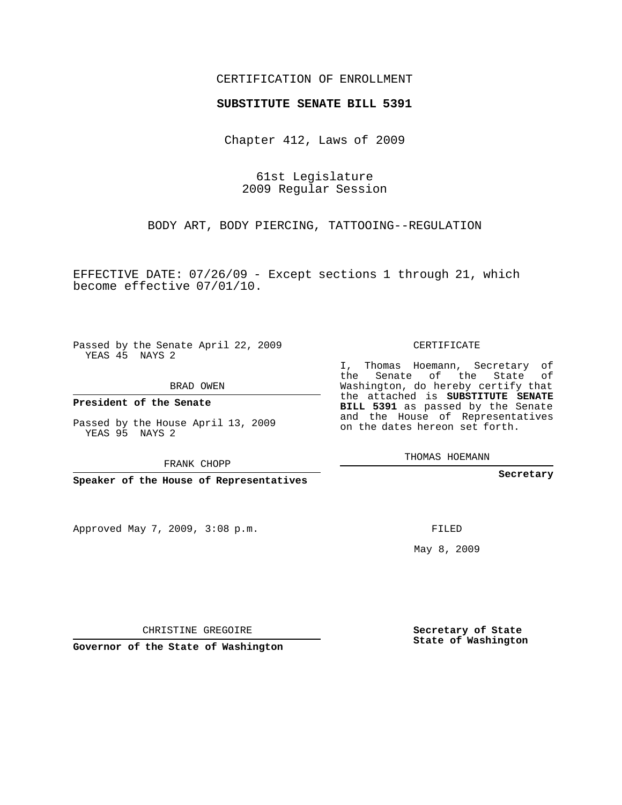#### CERTIFICATION OF ENROLLMENT

#### **SUBSTITUTE SENATE BILL 5391**

Chapter 412, Laws of 2009

61st Legislature 2009 Regular Session

BODY ART, BODY PIERCING, TATTOOING--REGULATION

EFFECTIVE DATE: 07/26/09 - Except sections 1 through 21, which become effective 07/01/10.

Passed by the Senate April 22, 2009 YEAS 45 NAYS 2

BRAD OWEN

**President of the Senate**

Passed by the House April 13, 2009 YEAS 95 NAYS 2

FRANK CHOPP

**Speaker of the House of Representatives**

Approved May 7, 2009, 3:08 p.m.

CERTIFICATE

I, Thomas Hoemann, Secretary of the Senate of the State of Washington, do hereby certify that the attached is **SUBSTITUTE SENATE BILL 5391** as passed by the Senate and the House of Representatives on the dates hereon set forth.

THOMAS HOEMANN

**Secretary**

FILED

May 8, 2009

**Secretary of State State of Washington**

CHRISTINE GREGOIRE

**Governor of the State of Washington**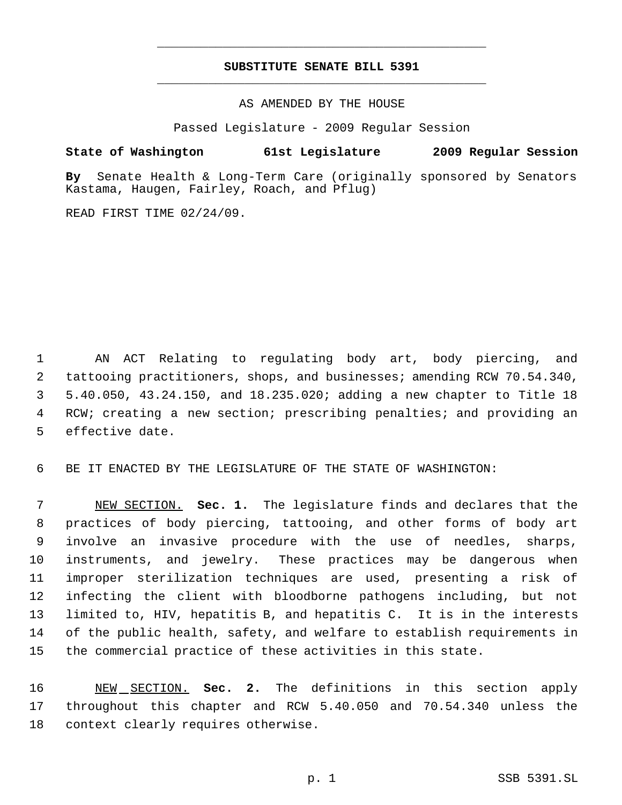## **SUBSTITUTE SENATE BILL 5391** \_\_\_\_\_\_\_\_\_\_\_\_\_\_\_\_\_\_\_\_\_\_\_\_\_\_\_\_\_\_\_\_\_\_\_\_\_\_\_\_\_\_\_\_\_

\_\_\_\_\_\_\_\_\_\_\_\_\_\_\_\_\_\_\_\_\_\_\_\_\_\_\_\_\_\_\_\_\_\_\_\_\_\_\_\_\_\_\_\_\_

AS AMENDED BY THE HOUSE

Passed Legislature - 2009 Regular Session

### **State of Washington 61st Legislature 2009 Regular Session**

**By** Senate Health & Long-Term Care (originally sponsored by Senators Kastama, Haugen, Fairley, Roach, and Pflug)

READ FIRST TIME 02/24/09.

 AN ACT Relating to regulating body art, body piercing, and tattooing practitioners, shops, and businesses; amending RCW 70.54.340, 5.40.050, 43.24.150, and 18.235.020; adding a new chapter to Title 18 RCW; creating a new section; prescribing penalties; and providing an effective date.

BE IT ENACTED BY THE LEGISLATURE OF THE STATE OF WASHINGTON:

 NEW SECTION. **Sec. 1.** The legislature finds and declares that the practices of body piercing, tattooing, and other forms of body art involve an invasive procedure with the use of needles, sharps, instruments, and jewelry. These practices may be dangerous when improper sterilization techniques are used, presenting a risk of infecting the client with bloodborne pathogens including, but not limited to, HIV, hepatitis B, and hepatitis C. It is in the interests of the public health, safety, and welfare to establish requirements in the commercial practice of these activities in this state.

 NEW SECTION. **Sec. 2.** The definitions in this section apply throughout this chapter and RCW 5.40.050 and 70.54.340 unless the context clearly requires otherwise.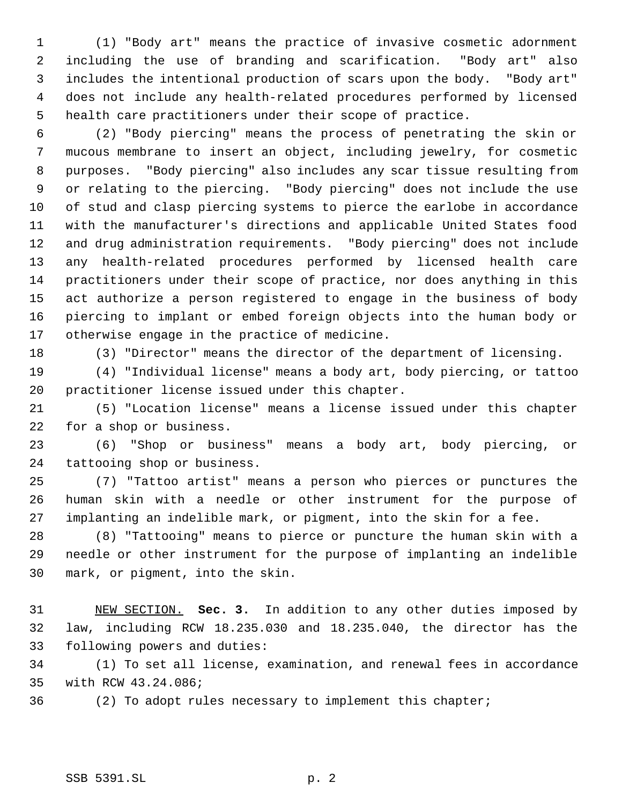(1) "Body art" means the practice of invasive cosmetic adornment including the use of branding and scarification. "Body art" also includes the intentional production of scars upon the body. "Body art" does not include any health-related procedures performed by licensed health care practitioners under their scope of practice.

 (2) "Body piercing" means the process of penetrating the skin or mucous membrane to insert an object, including jewelry, for cosmetic purposes. "Body piercing" also includes any scar tissue resulting from or relating to the piercing. "Body piercing" does not include the use of stud and clasp piercing systems to pierce the earlobe in accordance with the manufacturer's directions and applicable United States food and drug administration requirements. "Body piercing" does not include any health-related procedures performed by licensed health care practitioners under their scope of practice, nor does anything in this act authorize a person registered to engage in the business of body piercing to implant or embed foreign objects into the human body or otherwise engage in the practice of medicine.

(3) "Director" means the director of the department of licensing.

 (4) "Individual license" means a body art, body piercing, or tattoo practitioner license issued under this chapter.

 (5) "Location license" means a license issued under this chapter for a shop or business.

 (6) "Shop or business" means a body art, body piercing, or tattooing shop or business.

 (7) "Tattoo artist" means a person who pierces or punctures the human skin with a needle or other instrument for the purpose of implanting an indelible mark, or pigment, into the skin for a fee.

 (8) "Tattooing" means to pierce or puncture the human skin with a needle or other instrument for the purpose of implanting an indelible mark, or pigment, into the skin.

 NEW SECTION. **Sec. 3.** In addition to any other duties imposed by law, including RCW 18.235.030 and 18.235.040, the director has the following powers and duties:

 (1) To set all license, examination, and renewal fees in accordance with RCW 43.24.086;

(2) To adopt rules necessary to implement this chapter;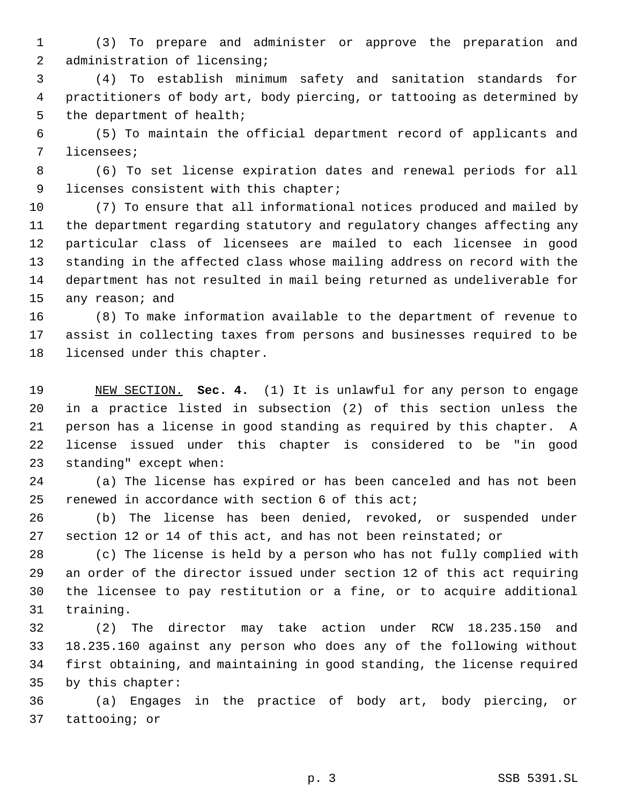(3) To prepare and administer or approve the preparation and 2 administration of licensing;

 (4) To establish minimum safety and sanitation standards for practitioners of body art, body piercing, or tattooing as determined by 5 the department of health;

 (5) To maintain the official department record of applicants and licensees;

 (6) To set license expiration dates and renewal periods for all licenses consistent with this chapter;

 (7) To ensure that all informational notices produced and mailed by the department regarding statutory and regulatory changes affecting any particular class of licensees are mailed to each licensee in good standing in the affected class whose mailing address on record with the department has not resulted in mail being returned as undeliverable for 15 any reason; and

 (8) To make information available to the department of revenue to assist in collecting taxes from persons and businesses required to be licensed under this chapter.

 NEW SECTION. **Sec. 4.** (1) It is unlawful for any person to engage in a practice listed in subsection (2) of this section unless the person has a license in good standing as required by this chapter. A license issued under this chapter is considered to be "in good standing" except when:

 (a) The license has expired or has been canceled and has not been renewed in accordance with section 6 of this act;

 (b) The license has been denied, revoked, or suspended under section 12 or 14 of this act, and has not been reinstated; or

 (c) The license is held by a person who has not fully complied with an order of the director issued under section 12 of this act requiring the licensee to pay restitution or a fine, or to acquire additional training.

 (2) The director may take action under RCW 18.235.150 and 18.235.160 against any person who does any of the following without first obtaining, and maintaining in good standing, the license required by this chapter:

 (a) Engages in the practice of body art, body piercing, or tattooing; or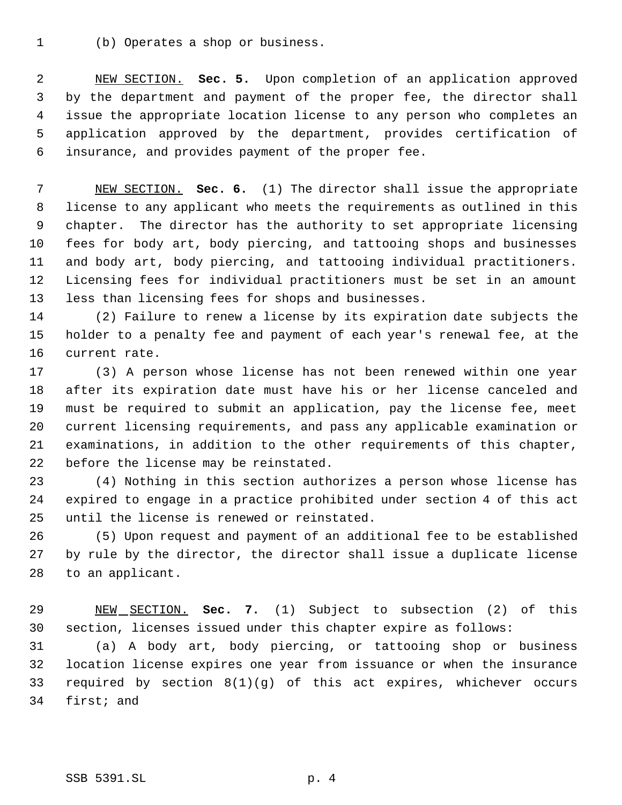(b) Operates a shop or business.

 NEW SECTION. **Sec. 5.** Upon completion of an application approved by the department and payment of the proper fee, the director shall issue the appropriate location license to any person who completes an application approved by the department, provides certification of insurance, and provides payment of the proper fee.

 NEW SECTION. **Sec. 6.** (1) The director shall issue the appropriate license to any applicant who meets the requirements as outlined in this chapter. The director has the authority to set appropriate licensing fees for body art, body piercing, and tattooing shops and businesses and body art, body piercing, and tattooing individual practitioners. Licensing fees for individual practitioners must be set in an amount less than licensing fees for shops and businesses.

 (2) Failure to renew a license by its expiration date subjects the holder to a penalty fee and payment of each year's renewal fee, at the current rate.

 (3) A person whose license has not been renewed within one year after its expiration date must have his or her license canceled and must be required to submit an application, pay the license fee, meet current licensing requirements, and pass any applicable examination or examinations, in addition to the other requirements of this chapter, before the license may be reinstated.

 (4) Nothing in this section authorizes a person whose license has expired to engage in a practice prohibited under section 4 of this act until the license is renewed or reinstated.

 (5) Upon request and payment of an additional fee to be established by rule by the director, the director shall issue a duplicate license to an applicant.

 NEW SECTION. **Sec. 7.** (1) Subject to subsection (2) of this section, licenses issued under this chapter expire as follows:

 (a) A body art, body piercing, or tattooing shop or business location license expires one year from issuance or when the insurance required by section 8(1)(g) of this act expires, whichever occurs first; and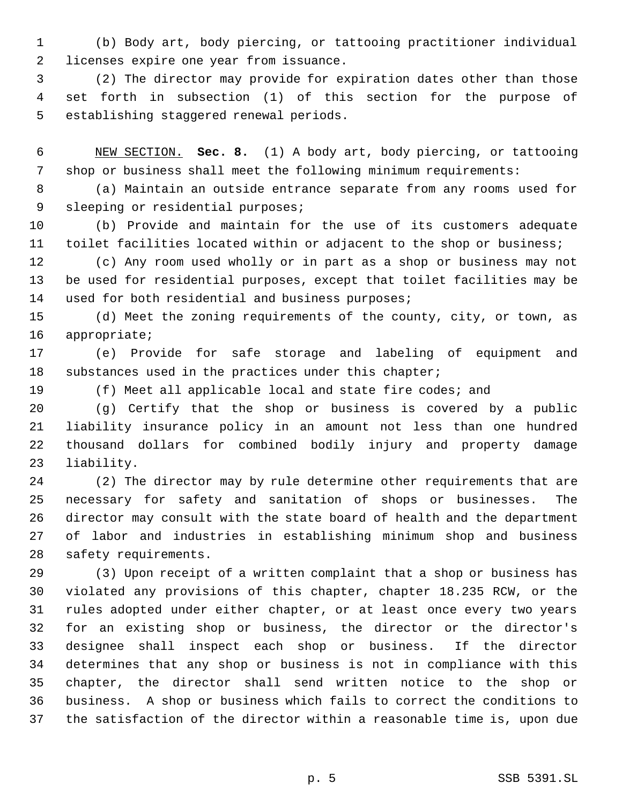(b) Body art, body piercing, or tattooing practitioner individual licenses expire one year from issuance.

 (2) The director may provide for expiration dates other than those set forth in subsection (1) of this section for the purpose of establishing staggered renewal periods.

 NEW SECTION. **Sec. 8.** (1) A body art, body piercing, or tattooing shop or business shall meet the following minimum requirements:

 (a) Maintain an outside entrance separate from any rooms used for 9 sleeping or residential purposes;

 (b) Provide and maintain for the use of its customers adequate toilet facilities located within or adjacent to the shop or business;

 (c) Any room used wholly or in part as a shop or business may not be used for residential purposes, except that toilet facilities may be used for both residential and business purposes;

 (d) Meet the zoning requirements of the county, city, or town, as appropriate;

 (e) Provide for safe storage and labeling of equipment and 18 substances used in the practices under this chapter;

(f) Meet all applicable local and state fire codes; and

 (g) Certify that the shop or business is covered by a public liability insurance policy in an amount not less than one hundred thousand dollars for combined bodily injury and property damage liability.

 (2) The director may by rule determine other requirements that are necessary for safety and sanitation of shops or businesses. The director may consult with the state board of health and the department of labor and industries in establishing minimum shop and business safety requirements.

 (3) Upon receipt of a written complaint that a shop or business has violated any provisions of this chapter, chapter 18.235 RCW, or the rules adopted under either chapter, or at least once every two years for an existing shop or business, the director or the director's designee shall inspect each shop or business. If the director determines that any shop or business is not in compliance with this chapter, the director shall send written notice to the shop or business. A shop or business which fails to correct the conditions to the satisfaction of the director within a reasonable time is, upon due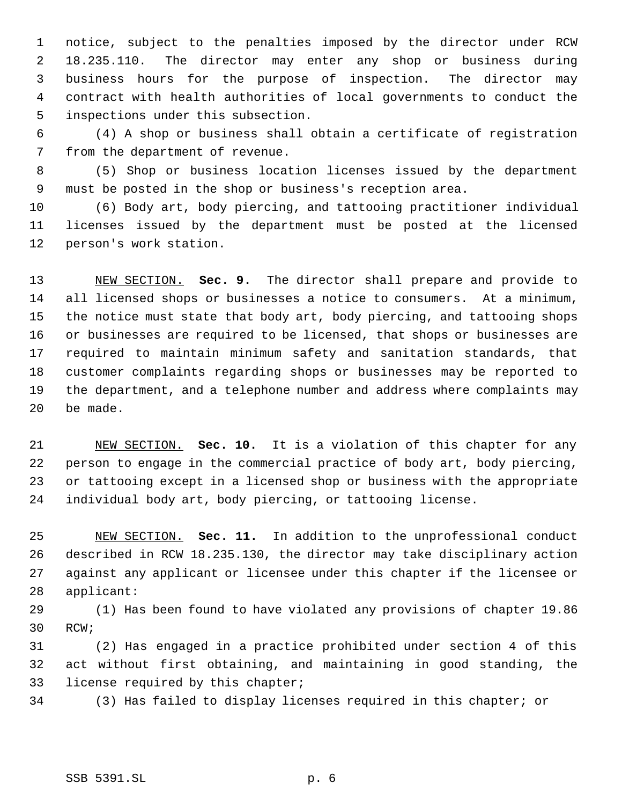notice, subject to the penalties imposed by the director under RCW 18.235.110. The director may enter any shop or business during business hours for the purpose of inspection. The director may contract with health authorities of local governments to conduct the inspections under this subsection.

 (4) A shop or business shall obtain a certificate of registration from the department of revenue.

 (5) Shop or business location licenses issued by the department must be posted in the shop or business's reception area.

 (6) Body art, body piercing, and tattooing practitioner individual licenses issued by the department must be posted at the licensed person's work station.

 NEW SECTION. **Sec. 9.** The director shall prepare and provide to all licensed shops or businesses a notice to consumers. At a minimum, the notice must state that body art, body piercing, and tattooing shops or businesses are required to be licensed, that shops or businesses are required to maintain minimum safety and sanitation standards, that customer complaints regarding shops or businesses may be reported to the department, and a telephone number and address where complaints may be made.

 NEW SECTION. **Sec. 10.** It is a violation of this chapter for any person to engage in the commercial practice of body art, body piercing, or tattooing except in a licensed shop or business with the appropriate individual body art, body piercing, or tattooing license.

 NEW SECTION. **Sec. 11.** In addition to the unprofessional conduct described in RCW 18.235.130, the director may take disciplinary action against any applicant or licensee under this chapter if the licensee or applicant:

 (1) Has been found to have violated any provisions of chapter 19.86 RCW;

 (2) Has engaged in a practice prohibited under section 4 of this act without first obtaining, and maintaining in good standing, the license required by this chapter;

(3) Has failed to display licenses required in this chapter; or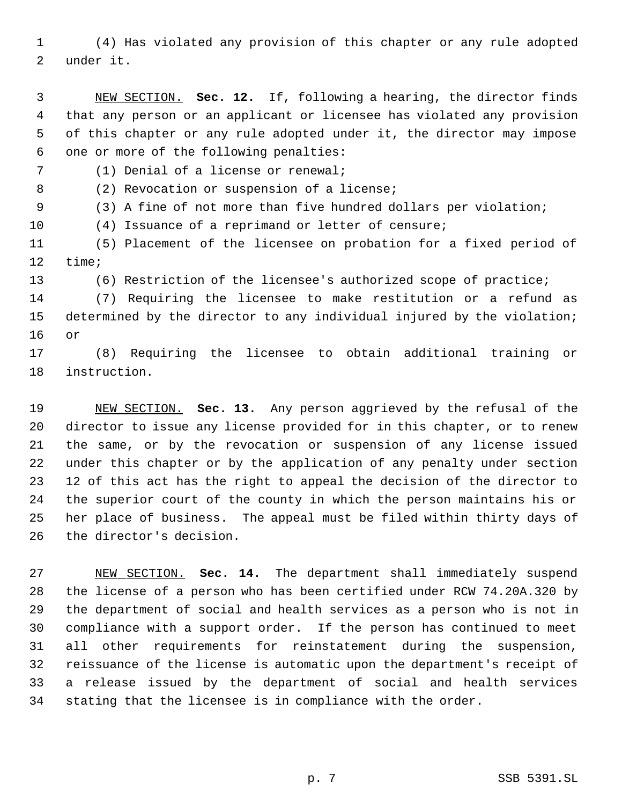(4) Has violated any provision of this chapter or any rule adopted under it.

 NEW SECTION. **Sec. 12.** If, following a hearing, the director finds that any person or an applicant or licensee has violated any provision of this chapter or any rule adopted under it, the director may impose one or more of the following penalties:

(1) Denial of a license or renewal;

8 (2) Revocation or suspension of a license;

(3) A fine of not more than five hundred dollars per violation;

(4) Issuance of a reprimand or letter of censure;

 (5) Placement of the licensee on probation for a fixed period of time;

(6) Restriction of the licensee's authorized scope of practice;

 (7) Requiring the licensee to make restitution or a refund as determined by the director to any individual injured by the violation; or

 (8) Requiring the licensee to obtain additional training or instruction.

 NEW SECTION. **Sec. 13.** Any person aggrieved by the refusal of the director to issue any license provided for in this chapter, or to renew the same, or by the revocation or suspension of any license issued under this chapter or by the application of any penalty under section 12 of this act has the right to appeal the decision of the director to the superior court of the county in which the person maintains his or her place of business. The appeal must be filed within thirty days of the director's decision.

 NEW SECTION. **Sec. 14.** The department shall immediately suspend the license of a person who has been certified under RCW 74.20A.320 by the department of social and health services as a person who is not in compliance with a support order. If the person has continued to meet all other requirements for reinstatement during the suspension, reissuance of the license is automatic upon the department's receipt of a release issued by the department of social and health services stating that the licensee is in compliance with the order.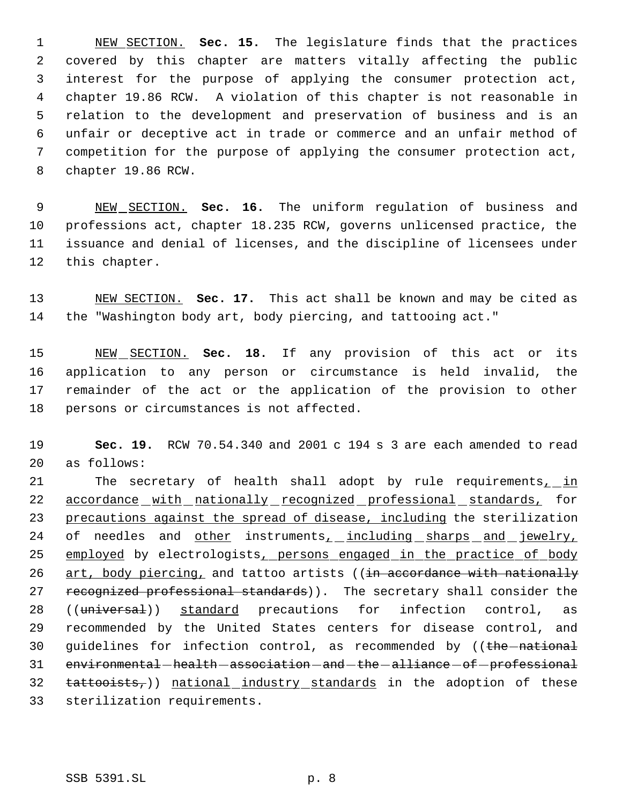NEW SECTION. **Sec. 15.** The legislature finds that the practices covered by this chapter are matters vitally affecting the public interest for the purpose of applying the consumer protection act, chapter 19.86 RCW. A violation of this chapter is not reasonable in relation to the development and preservation of business and is an unfair or deceptive act in trade or commerce and an unfair method of competition for the purpose of applying the consumer protection act, chapter 19.86 RCW.

 NEW SECTION. **Sec. 16.** The uniform regulation of business and professions act, chapter 18.235 RCW, governs unlicensed practice, the issuance and denial of licenses, and the discipline of licensees under this chapter.

 NEW SECTION. **Sec. 17.** This act shall be known and may be cited as the "Washington body art, body piercing, and tattooing act."

 NEW SECTION. **Sec. 18.** If any provision of this act or its application to any person or circumstance is held invalid, the remainder of the act or the application of the provision to other persons or circumstances is not affected.

 **Sec. 19.** RCW 70.54.340 and 2001 c 194 s 3 are each amended to read as follows:

21 The secretary of health shall adopt by rule requirements<sub>1</sub> in 22 accordance with nationally recognized professional standards, for precautions against the spread of disease, including the sterilization 24 of needles and other instruments, including sharps and jewelry, 25 employed by electrologists, persons engaged in the practice of body 26 art, body piercing, and tattoo artists ((in accordance with nationally 27 recognized professional standards)). The secretary shall consider the 28 ((universal)) standard precautions for infection control, as recommended by the United States centers for disease control, and 30 guidelines for infection control, as recommended by ((the -national 31 environmental-health-association-and-the-alliance-of-professional tattooists,)) national industry standards in the adoption of these sterilization requirements.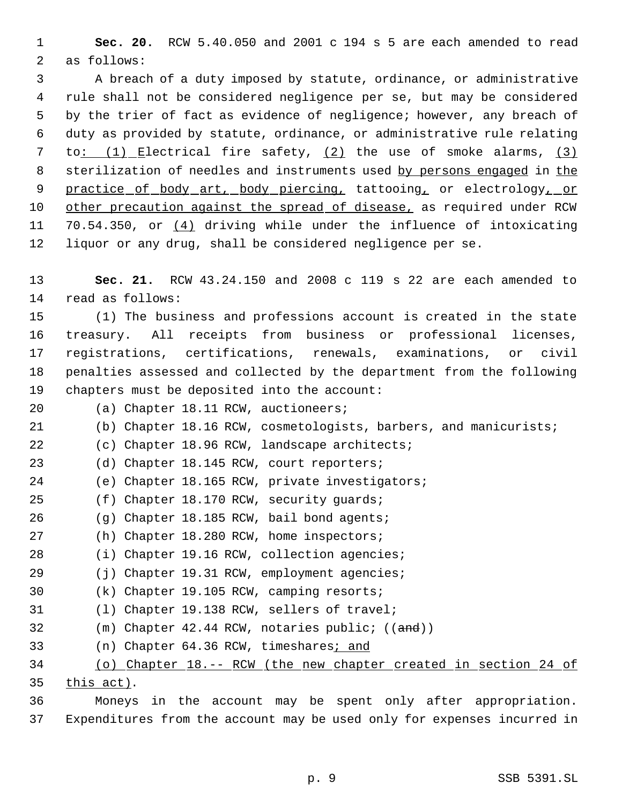**Sec. 20.** RCW 5.40.050 and 2001 c 194 s 5 are each amended to read as follows:

 A breach of a duty imposed by statute, ordinance, or administrative rule shall not be considered negligence per se, but may be considered by the trier of fact as evidence of negligence; however, any breach of duty as provided by statute, ordinance, or administrative rule relating to: (1) Electrical fire safety, (2) the use of smoke alarms, (3) 8 sterilization of needles and instruments used by persons engaged in the 9 practice of body art, body piercing, tattooing, or electrology, or 10 other precaution against the spread of disease, as required under RCW 11 70.54.350, or (4) driving while under the influence of intoxicating liquor or any drug, shall be considered negligence per se.

 **Sec. 21.** RCW 43.24.150 and 2008 c 119 s 22 are each amended to read as follows:

 (1) The business and professions account is created in the state treasury. All receipts from business or professional licenses, registrations, certifications, renewals, examinations, or civil penalties assessed and collected by the department from the following chapters must be deposited into the account:

(a) Chapter 18.11 RCW, auctioneers;

(b) Chapter 18.16 RCW, cosmetologists, barbers, and manicurists;

(c) Chapter 18.96 RCW, landscape architects;

(d) Chapter 18.145 RCW, court reporters;

(e) Chapter 18.165 RCW, private investigators;

(f) Chapter 18.170 RCW, security guards;

- (g) Chapter 18.185 RCW, bail bond agents;
- (h) Chapter 18.280 RCW, home inspectors;
- (i) Chapter 19.16 RCW, collection agencies;
- (j) Chapter 19.31 RCW, employment agencies;
- (k) Chapter 19.105 RCW, camping resorts;
- (l) Chapter 19.138 RCW, sellers of travel;
- 32 (m) Chapter 42.44 RCW, notaries public; ((and))
- 33 (n) Chapter 64.36 RCW, timeshares; and

# (o) Chapter 18.-- RCW (the new chapter created in section 24 of this act).

 Moneys in the account may be spent only after appropriation. Expenditures from the account may be used only for expenses incurred in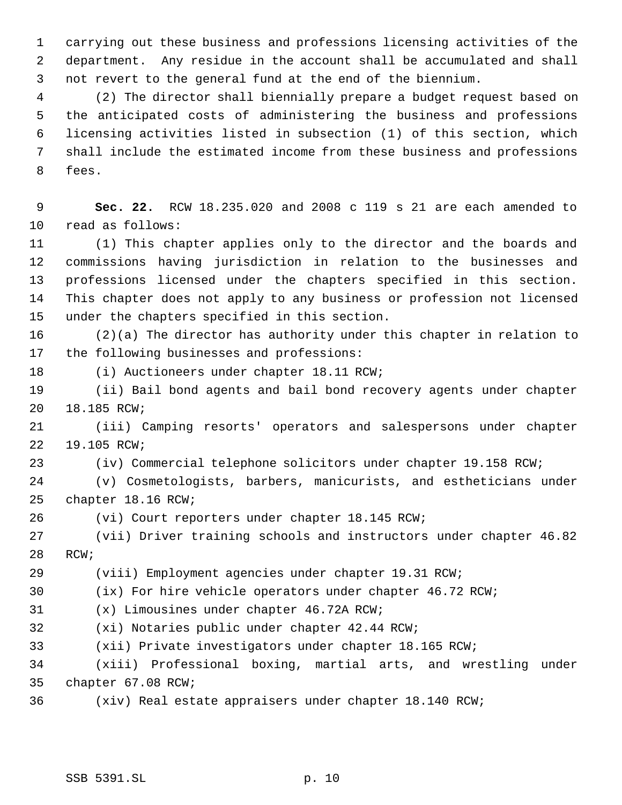carrying out these business and professions licensing activities of the department. Any residue in the account shall be accumulated and shall not revert to the general fund at the end of the biennium.

 (2) The director shall biennially prepare a budget request based on the anticipated costs of administering the business and professions licensing activities listed in subsection (1) of this section, which shall include the estimated income from these business and professions fees.

 **Sec. 22.** RCW 18.235.020 and 2008 c 119 s 21 are each amended to read as follows:

 (1) This chapter applies only to the director and the boards and commissions having jurisdiction in relation to the businesses and professions licensed under the chapters specified in this section. This chapter does not apply to any business or profession not licensed under the chapters specified in this section.

 (2)(a) The director has authority under this chapter in relation to the following businesses and professions:

(i) Auctioneers under chapter 18.11 RCW;

 (ii) Bail bond agents and bail bond recovery agents under chapter 18.185 RCW;

 (iii) Camping resorts' operators and salespersons under chapter 19.105 RCW;

(iv) Commercial telephone solicitors under chapter 19.158 RCW;

 (v) Cosmetologists, barbers, manicurists, and estheticians under chapter 18.16 RCW;

(vi) Court reporters under chapter 18.145 RCW;

 (vii) Driver training schools and instructors under chapter 46.82 RCW;

(viii) Employment agencies under chapter 19.31 RCW;

(ix) For hire vehicle operators under chapter 46.72 RCW;

(x) Limousines under chapter 46.72A RCW;

(xi) Notaries public under chapter 42.44 RCW;

(xii) Private investigators under chapter 18.165 RCW;

 (xiii) Professional boxing, martial arts, and wrestling under chapter 67.08 RCW;

(xiv) Real estate appraisers under chapter 18.140 RCW;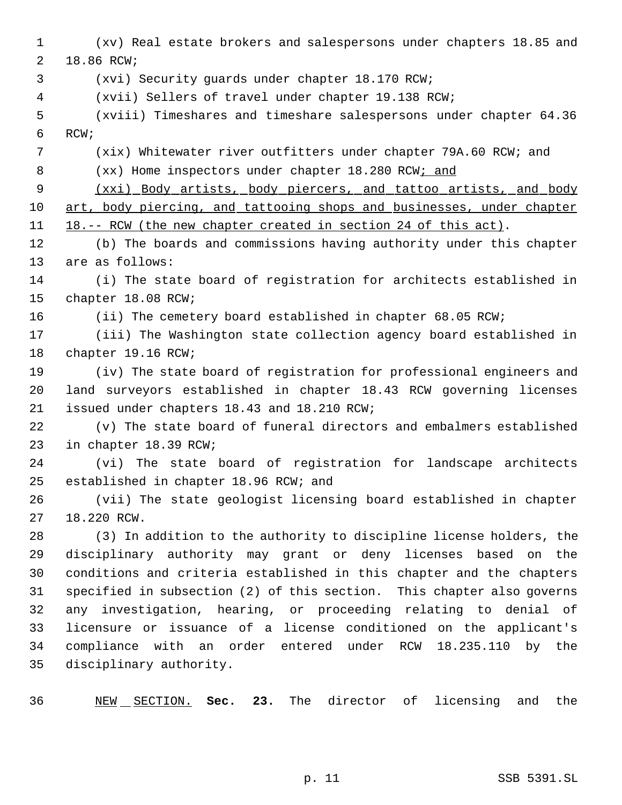(xv) Real estate brokers and salespersons under chapters 18.85 and 18.86 RCW; (xvi) Security guards under chapter 18.170 RCW; (xvii) Sellers of travel under chapter 19.138 RCW; (xviii) Timeshares and timeshare salespersons under chapter 64.36 RCW; (xix) Whitewater river outfitters under chapter 79A.60 RCW; and 8 (xx) Home inspectors under chapter 18.280 RCW; and (xxi) Body artists, body piercers, and tattoo artists, and body art, body piercing, and tattooing shops and businesses, under chapter 18.-- RCW (the new chapter created in section 24 of this act). (b) The boards and commissions having authority under this chapter are as follows: (i) The state board of registration for architects established in chapter 18.08 RCW; (ii) The cemetery board established in chapter 68.05 RCW; (iii) The Washington state collection agency board established in chapter 19.16 RCW; (iv) The state board of registration for professional engineers and land surveyors established in chapter 18.43 RCW governing licenses issued under chapters 18.43 and 18.210 RCW; (v) The state board of funeral directors and embalmers established in chapter 18.39 RCW; (vi) The state board of registration for landscape architects established in chapter 18.96 RCW; and (vii) The state geologist licensing board established in chapter 18.220 RCW. (3) In addition to the authority to discipline license holders, the disciplinary authority may grant or deny licenses based on the conditions and criteria established in this chapter and the chapters specified in subsection (2) of this section. This chapter also governs any investigation, hearing, or proceeding relating to denial of licensure or issuance of a license conditioned on the applicant's compliance with an order entered under RCW 18.235.110 by the disciplinary authority. NEW SECTION. **Sec. 23.** The director of licensing and the